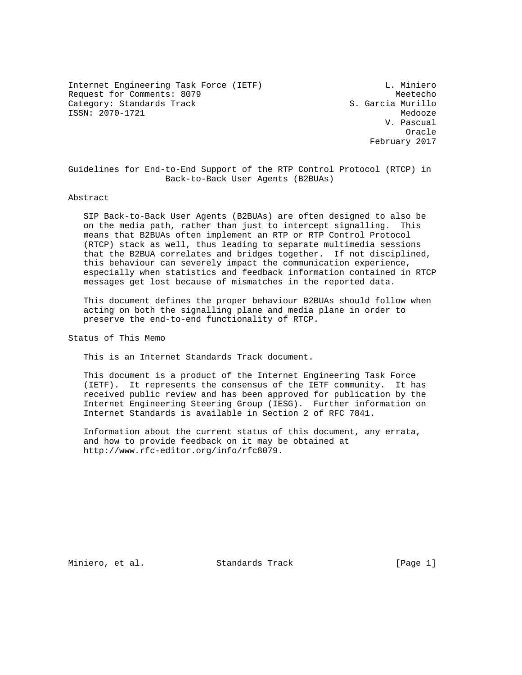Internet Engineering Task Force (IETF) L. Miniero Request for Comments: 8079 Meetecho Category: Standards Track S. Garcia Murillo ISSN: 2070-1721 Medooze

 V. Pascual **Oracle** (1999) and the contract of the contract of the contract of the contract of the contract of the contract of the contract of the contract of the contract of the contract of the contract of the contract of the contra February 2017

Guidelines for End-to-End Support of the RTP Control Protocol (RTCP) in Back-to-Back User Agents (B2BUAs)

#### Abstract

 SIP Back-to-Back User Agents (B2BUAs) are often designed to also be on the media path, rather than just to intercept signalling. This means that B2BUAs often implement an RTP or RTP Control Protocol (RTCP) stack as well, thus leading to separate multimedia sessions that the B2BUA correlates and bridges together. If not disciplined, this behaviour can severely impact the communication experience, especially when statistics and feedback information contained in RTCP messages get lost because of mismatches in the reported data.

 This document defines the proper behaviour B2BUAs should follow when acting on both the signalling plane and media plane in order to preserve the end-to-end functionality of RTCP.

Status of This Memo

This is an Internet Standards Track document.

 This document is a product of the Internet Engineering Task Force (IETF). It represents the consensus of the IETF community. It has received public review and has been approved for publication by the Internet Engineering Steering Group (IESG). Further information on Internet Standards is available in Section 2 of RFC 7841.

 Information about the current status of this document, any errata, and how to provide feedback on it may be obtained at http://www.rfc-editor.org/info/rfc8079.

Miniero, et al. Standards Track [Page 1]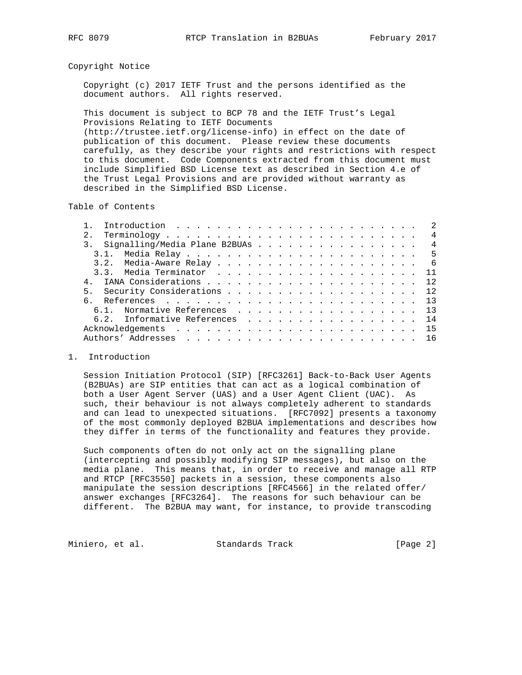### Copyright Notice

 Copyright (c) 2017 IETF Trust and the persons identified as the document authors. All rights reserved.

 This document is subject to BCP 78 and the IETF Trust's Legal Provisions Relating to IETF Documents (http://trustee.ietf.org/license-info) in effect on the date of publication of this document. Please review these documents carefully, as they describe your rights and restrictions with respect to this document. Code Components extracted from this document must include Simplified BSD License text as described in Section 4.e of the Trust Legal Provisions and are provided without warranty as described in the Simplified BSD License.

Table of Contents

| 2.1                                | $\overline{4}$ |
|------------------------------------|----------------|
| 3. Signalling/Media Plane B2BUAs 4 |                |
|                                    |                |
|                                    |                |
|                                    |                |
|                                    |                |
| 5. Security Considerations 12      |                |
|                                    |                |
| 6.1. Normative References 13       |                |
| 6.2. Informative References 14     |                |
|                                    |                |
|                                    |                |

#### 1. Introduction

 Session Initiation Protocol (SIP) [RFC3261] Back-to-Back User Agents (B2BUAs) are SIP entities that can act as a logical combination of both a User Agent Server (UAS) and a User Agent Client (UAC). As such, their behaviour is not always completely adherent to standards and can lead to unexpected situations. [RFC7092] presents a taxonomy of the most commonly deployed B2BUA implementations and describes how they differ in terms of the functionality and features they provide.

 Such components often do not only act on the signalling plane (intercepting and possibly modifying SIP messages), but also on the media plane. This means that, in order to receive and manage all RTP and RTCP [RFC3550] packets in a session, these components also manipulate the session descriptions [RFC4566] in the related offer/ answer exchanges [RFC3264]. The reasons for such behaviour can be different. The B2BUA may want, for instance, to provide transcoding

Miniero, et al. Standards Track [Page 2]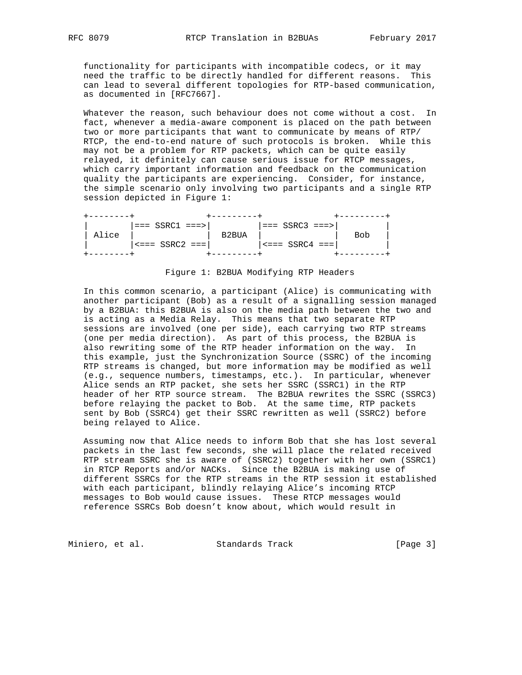functionality for participants with incompatible codecs, or it may need the traffic to be directly handled for different reasons. This can lead to several different topologies for RTP-based communication, as documented in [RFC7667].

 Whatever the reason, such behaviour does not come without a cost. In fact, whenever a media-aware component is placed on the path between two or more participants that want to communicate by means of RTP/ RTCP, the end-to-end nature of such protocols is broken. While this may not be a problem for RTP packets, which can be quite easily relayed, it definitely can cause serious issue for RTCP messages, which carry important information and feedback on the communication quality the participants are experiencing. Consider, for instance, the simple scenario only involving two participants and a single RTP session depicted in Figure 1:

|       | $===$ SSRC1 $==$ > |       | $ == $ SSRC3 $== $      |     |
|-------|--------------------|-------|-------------------------|-----|
| Alice |                    | B2BUA |                         | B∩h |
|       | $s ==$ SSRC2 ===1  |       | $  \leq ==$ SSRC4 === 1 |     |
|       |                    |       |                         |     |

#### Figure 1: B2BUA Modifying RTP Headers

 In this common scenario, a participant (Alice) is communicating with another participant (Bob) as a result of a signalling session managed by a B2BUA: this B2BUA is also on the media path between the two and is acting as a Media Relay. This means that two separate RTP sessions are involved (one per side), each carrying two RTP streams (one per media direction). As part of this process, the B2BUA is also rewriting some of the RTP header information on the way. In this example, just the Synchronization Source (SSRC) of the incoming RTP streams is changed, but more information may be modified as well (e.g., sequence numbers, timestamps, etc.). In particular, whenever Alice sends an RTP packet, she sets her SSRC (SSRC1) in the RTP header of her RTP source stream. The B2BUA rewrites the SSRC (SSRC3) before relaying the packet to Bob. At the same time, RTP packets sent by Bob (SSRC4) get their SSRC rewritten as well (SSRC2) before being relayed to Alice.

 Assuming now that Alice needs to inform Bob that she has lost several packets in the last few seconds, she will place the related received RTP stream SSRC she is aware of (SSRC2) together with her own (SSRC1) in RTCP Reports and/or NACKs. Since the B2BUA is making use of different SSRCs for the RTP streams in the RTP session it established with each participant, blindly relaying Alice's incoming RTCP messages to Bob would cause issues. These RTCP messages would reference SSRCs Bob doesn't know about, which would result in

Miniero, et al. Standards Track [Page 3]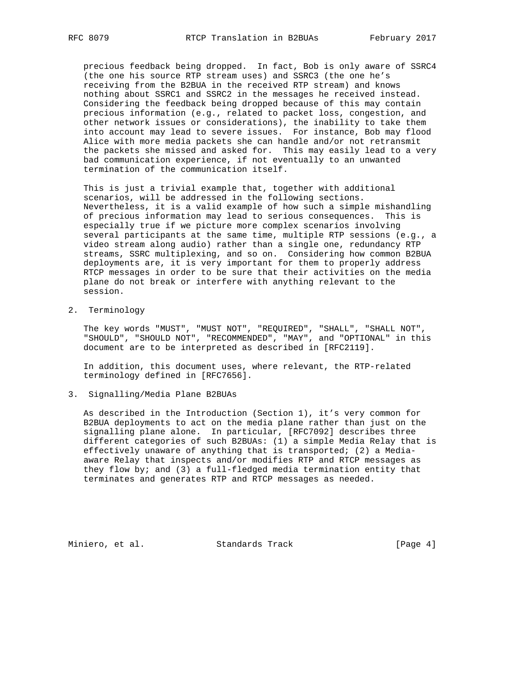precious feedback being dropped. In fact, Bob is only aware of SSRC4 (the one his source RTP stream uses) and SSRC3 (the one he's receiving from the B2BUA in the received RTP stream) and knows nothing about SSRC1 and SSRC2 in the messages he received instead. Considering the feedback being dropped because of this may contain precious information (e.g., related to packet loss, congestion, and other network issues or considerations), the inability to take them into account may lead to severe issues. For instance, Bob may flood Alice with more media packets she can handle and/or not retransmit the packets she missed and asked for. This may easily lead to a very bad communication experience, if not eventually to an unwanted termination of the communication itself.

 This is just a trivial example that, together with additional scenarios, will be addressed in the following sections. Nevertheless, it is a valid example of how such a simple mishandling of precious information may lead to serious consequences. This is especially true if we picture more complex scenarios involving several participants at the same time, multiple RTP sessions (e.g., a video stream along audio) rather than a single one, redundancy RTP streams, SSRC multiplexing, and so on. Considering how common B2BUA deployments are, it is very important for them to properly address RTCP messages in order to be sure that their activities on the media plane do not break or interfere with anything relevant to the session.

2. Terminology

 The key words "MUST", "MUST NOT", "REQUIRED", "SHALL", "SHALL NOT", "SHOULD", "SHOULD NOT", "RECOMMENDED", "MAY", and "OPTIONAL" in this document are to be interpreted as described in [RFC2119].

 In addition, this document uses, where relevant, the RTP-related terminology defined in [RFC7656].

## 3. Signalling/Media Plane B2BUAs

 As described in the Introduction (Section 1), it's very common for B2BUA deployments to act on the media plane rather than just on the signalling plane alone. In particular, [RFC7092] describes three different categories of such B2BUAs: (1) a simple Media Relay that is effectively unaware of anything that is transported; (2) a Media aware Relay that inspects and/or modifies RTP and RTCP messages as they flow by; and (3) a full-fledged media termination entity that terminates and generates RTP and RTCP messages as needed.

Miniero, et al. Standards Track [Page 4]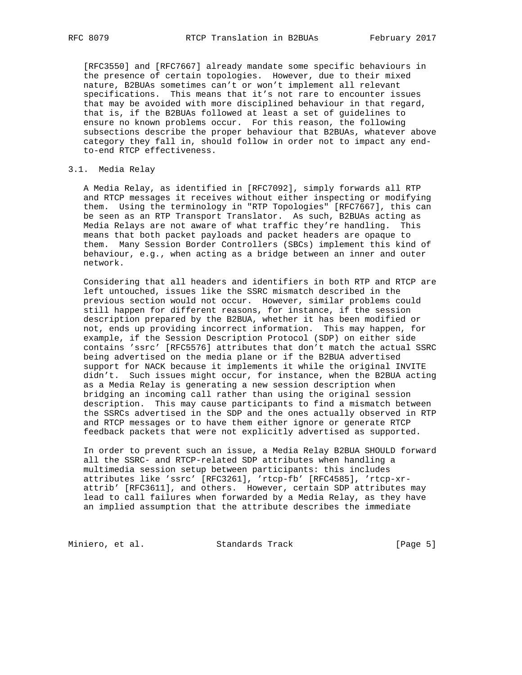[RFC3550] and [RFC7667] already mandate some specific behaviours in the presence of certain topologies. However, due to their mixed nature, B2BUAs sometimes can't or won't implement all relevant specifications. This means that it's not rare to encounter issues that may be avoided with more disciplined behaviour in that regard, that is, if the B2BUAs followed at least a set of guidelines to ensure no known problems occur. For this reason, the following subsections describe the proper behaviour that B2BUAs, whatever above category they fall in, should follow in order not to impact any end to-end RTCP effectiveness.

# 3.1. Media Relay

 A Media Relay, as identified in [RFC7092], simply forwards all RTP and RTCP messages it receives without either inspecting or modifying them. Using the terminology in "RTP Topologies" [RFC7667], this can be seen as an RTP Transport Translator. As such, B2BUAs acting as Media Relays are not aware of what traffic they're handling. This means that both packet payloads and packet headers are opaque to them. Many Session Border Controllers (SBCs) implement this kind of behaviour, e.g., when acting as a bridge between an inner and outer network.

 Considering that all headers and identifiers in both RTP and RTCP are left untouched, issues like the SSRC mismatch described in the previous section would not occur. However, similar problems could still happen for different reasons, for instance, if the session description prepared by the B2BUA, whether it has been modified or not, ends up providing incorrect information. This may happen, for example, if the Session Description Protocol (SDP) on either side contains 'ssrc' [RFC5576] attributes that don't match the actual SSRC being advertised on the media plane or if the B2BUA advertised support for NACK because it implements it while the original INVITE didn't. Such issues might occur, for instance, when the B2BUA acting as a Media Relay is generating a new session description when bridging an incoming call rather than using the original session description. This may cause participants to find a mismatch between the SSRCs advertised in the SDP and the ones actually observed in RTP and RTCP messages or to have them either ignore or generate RTCP feedback packets that were not explicitly advertised as supported.

 In order to prevent such an issue, a Media Relay B2BUA SHOULD forward all the SSRC- and RTCP-related SDP attributes when handling a multimedia session setup between participants: this includes attributes like 'ssrc' [RFC3261], 'rtcp-fb' [RFC4585], 'rtcp-xr attrib' [RFC3611], and others. However, certain SDP attributes may lead to call failures when forwarded by a Media Relay, as they have an implied assumption that the attribute describes the immediate

Miniero, et al. Standards Track [Page 5]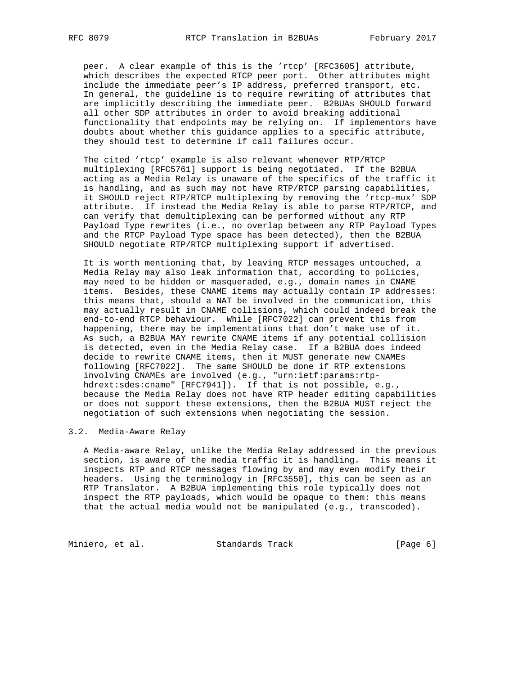peer. A clear example of this is the 'rtcp' [RFC3605] attribute, which describes the expected RTCP peer port. Other attributes might include the immediate peer's IP address, preferred transport, etc. In general, the guideline is to require rewriting of attributes that are implicitly describing the immediate peer. B2BUAs SHOULD forward all other SDP attributes in order to avoid breaking additional functionality that endpoints may be relying on. If implementors have doubts about whether this guidance applies to a specific attribute, they should test to determine if call failures occur.

 The cited 'rtcp' example is also relevant whenever RTP/RTCP multiplexing [RFC5761] support is being negotiated. If the B2BUA acting as a Media Relay is unaware of the specifics of the traffic it is handling, and as such may not have RTP/RTCP parsing capabilities, it SHOULD reject RTP/RTCP multiplexing by removing the 'rtcp-mux' SDP attribute. If instead the Media Relay is able to parse RTP/RTCP, and can verify that demultiplexing can be performed without any RTP Payload Type rewrites (i.e., no overlap between any RTP Payload Types and the RTCP Payload Type space has been detected), then the B2BUA SHOULD negotiate RTP/RTCP multiplexing support if advertised.

 It is worth mentioning that, by leaving RTCP messages untouched, a Media Relay may also leak information that, according to policies, may need to be hidden or masqueraded, e.g., domain names in CNAME items. Besides, these CNAME items may actually contain IP addresses: this means that, should a NAT be involved in the communication, this may actually result in CNAME collisions, which could indeed break the end-to-end RTCP behaviour. While [RFC7022] can prevent this from happening, there may be implementations that don't make use of it. As such, a B2BUA MAY rewrite CNAME items if any potential collision is detected, even in the Media Relay case. If a B2BUA does indeed decide to rewrite CNAME items, then it MUST generate new CNAMEs following [RFC7022]. The same SHOULD be done if RTP extensions involving CNAMEs are involved (e.g., "urn:ietf:params:rtp hdrext:sdes:cname" [RFC7941]). If that is not possible, e.g., because the Media Relay does not have RTP header editing capabilities or does not support these extensions, then the B2BUA MUST reject the negotiation of such extensions when negotiating the session.

### 3.2. Media-Aware Relay

 A Media-aware Relay, unlike the Media Relay addressed in the previous section, is aware of the media traffic it is handling. This means it inspects RTP and RTCP messages flowing by and may even modify their headers. Using the terminology in [RFC3550], this can be seen as an RTP Translator. A B2BUA implementing this role typically does not inspect the RTP payloads, which would be opaque to them: this means that the actual media would not be manipulated (e.g., transcoded).

Miniero, et al. Standards Track [Page 6]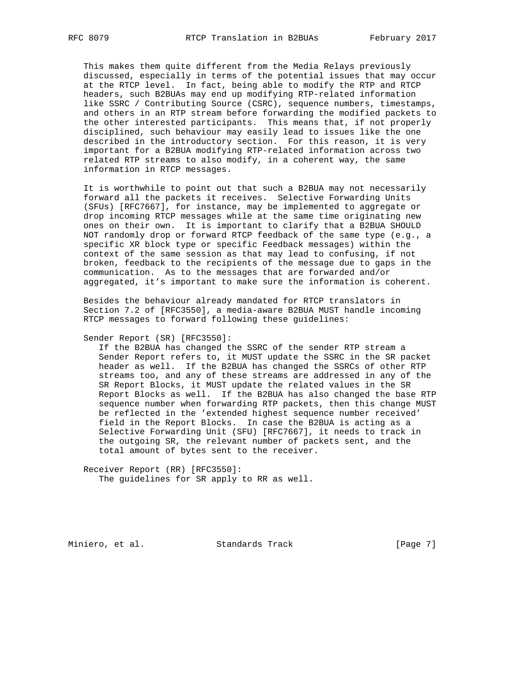This makes them quite different from the Media Relays previously discussed, especially in terms of the potential issues that may occur at the RTCP level. In fact, being able to modify the RTP and RTCP headers, such B2BUAs may end up modifying RTP-related information like SSRC / Contributing Source (CSRC), sequence numbers, timestamps, and others in an RTP stream before forwarding the modified packets to the other interested participants. This means that, if not properly disciplined, such behaviour may easily lead to issues like the one described in the introductory section. For this reason, it is very important for a B2BUA modifying RTP-related information across two related RTP streams to also modify, in a coherent way, the same information in RTCP messages.

 It is worthwhile to point out that such a B2BUA may not necessarily forward all the packets it receives. Selective Forwarding Units (SFUs) [RFC7667], for instance, may be implemented to aggregate or drop incoming RTCP messages while at the same time originating new ones on their own. It is important to clarify that a B2BUA SHOULD NOT randomly drop or forward RTCP feedback of the same type (e.g., a specific XR block type or specific Feedback messages) within the context of the same session as that may lead to confusing, if not broken, feedback to the recipients of the message due to gaps in the communication. As to the messages that are forwarded and/or aggregated, it's important to make sure the information is coherent.

 Besides the behaviour already mandated for RTCP translators in Section 7.2 of [RFC3550], a media-aware B2BUA MUST handle incoming RTCP messages to forward following these guidelines:

Sender Report (SR) [RFC3550]:

 If the B2BUA has changed the SSRC of the sender RTP stream a Sender Report refers to, it MUST update the SSRC in the SR packet header as well. If the B2BUA has changed the SSRCs of other RTP streams too, and any of these streams are addressed in any of the SR Report Blocks, it MUST update the related values in the SR Report Blocks as well. If the B2BUA has also changed the base RTP sequence number when forwarding RTP packets, then this change MUST be reflected in the 'extended highest sequence number received' field in the Report Blocks. In case the B2BUA is acting as a Selective Forwarding Unit (SFU) [RFC7667], it needs to track in the outgoing SR, the relevant number of packets sent, and the total amount of bytes sent to the receiver.

 Receiver Report (RR) [RFC3550]: The guidelines for SR apply to RR as well.

Miniero, et al. Standards Track [Page 7]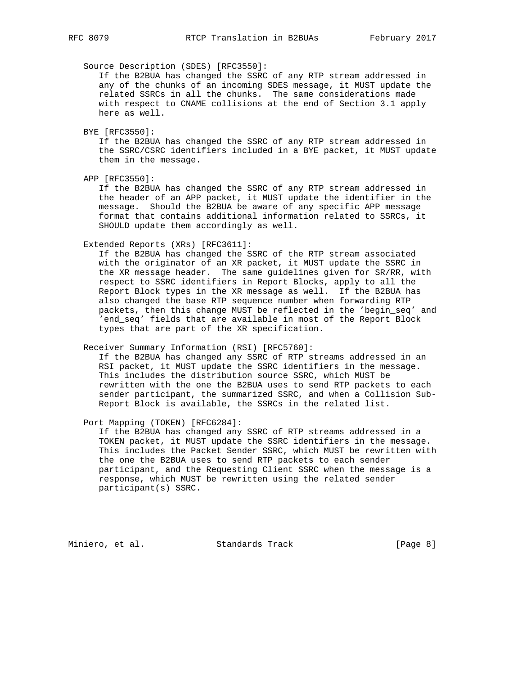Source Description (SDES) [RFC3550]:

 If the B2BUA has changed the SSRC of any RTP stream addressed in any of the chunks of an incoming SDES message, it MUST update the related SSRCs in all the chunks. The same considerations made with respect to CNAME collisions at the end of Section 3.1 apply here as well.

BYE [RFC3550]:

 If the B2BUA has changed the SSRC of any RTP stream addressed in the SSRC/CSRC identifiers included in a BYE packet, it MUST update them in the message.

APP [RFC3550]:

 If the B2BUA has changed the SSRC of any RTP stream addressed in the header of an APP packet, it MUST update the identifier in the message. Should the B2BUA be aware of any specific APP message format that contains additional information related to SSRCs, it SHOULD update them accordingly as well.

Extended Reports (XRs) [RFC3611]:

 If the B2BUA has changed the SSRC of the RTP stream associated with the originator of an XR packet, it MUST update the SSRC in the XR message header. The same guidelines given for SR/RR, with respect to SSRC identifiers in Report Blocks, apply to all the Report Block types in the XR message as well. If the B2BUA has also changed the base RTP sequence number when forwarding RTP packets, then this change MUST be reflected in the 'begin\_seq' and 'end\_seq' fields that are available in most of the Report Block types that are part of the XR specification.

Receiver Summary Information (RSI) [RFC5760]:

 If the B2BUA has changed any SSRC of RTP streams addressed in an RSI packet, it MUST update the SSRC identifiers in the message. This includes the distribution source SSRC, which MUST be rewritten with the one the B2BUA uses to send RTP packets to each sender participant, the summarized SSRC, and when a Collision Sub- Report Block is available, the SSRCs in the related list.

Port Mapping (TOKEN) [RFC6284]:

 If the B2BUA has changed any SSRC of RTP streams addressed in a TOKEN packet, it MUST update the SSRC identifiers in the message. This includes the Packet Sender SSRC, which MUST be rewritten with the one the B2BUA uses to send RTP packets to each sender participant, and the Requesting Client SSRC when the message is a response, which MUST be rewritten using the related sender participant(s) SSRC.

Miniero, et al. Standards Track [Page 8]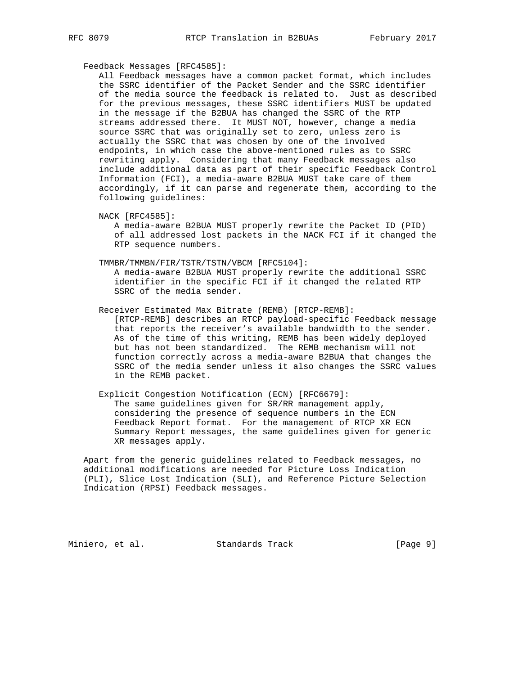## Feedback Messages [RFC4585]:

 All Feedback messages have a common packet format, which includes the SSRC identifier of the Packet Sender and the SSRC identifier of the media source the feedback is related to. Just as described for the previous messages, these SSRC identifiers MUST be updated in the message if the B2BUA has changed the SSRC of the RTP streams addressed there. It MUST NOT, however, change a media source SSRC that was originally set to zero, unless zero is actually the SSRC that was chosen by one of the involved endpoints, in which case the above-mentioned rules as to SSRC rewriting apply. Considering that many Feedback messages also include additional data as part of their specific Feedback Control Information (FCI), a media-aware B2BUA MUST take care of them accordingly, if it can parse and regenerate them, according to the following guidelines:

NACK [RFC4585]:

 A media-aware B2BUA MUST properly rewrite the Packet ID (PID) of all addressed lost packets in the NACK FCI if it changed the RTP sequence numbers.

TMMBR/TMMBN/FIR/TSTR/TSTN/VBCM [RFC5104]:

 A media-aware B2BUA MUST properly rewrite the additional SSRC identifier in the specific FCI if it changed the related RTP SSRC of the media sender.

Receiver Estimated Max Bitrate (REMB) [RTCP-REMB]:

 [RTCP-REMB] describes an RTCP payload-specific Feedback message that reports the receiver's available bandwidth to the sender. As of the time of this writing, REMB has been widely deployed but has not been standardized. The REMB mechanism will not function correctly across a media-aware B2BUA that changes the SSRC of the media sender unless it also changes the SSRC values in the REMB packet.

# Explicit Congestion Notification (ECN) [RFC6679]: The same guidelines given for SR/RR management apply, considering the presence of sequence numbers in the ECN Feedback Report format. For the management of RTCP XR ECN Summary Report messages, the same guidelines given for generic XR messages apply.

 Apart from the generic guidelines related to Feedback messages, no additional modifications are needed for Picture Loss Indication (PLI), Slice Lost Indication (SLI), and Reference Picture Selection Indication (RPSI) Feedback messages.

Miniero, et al. Standards Track [Page 9]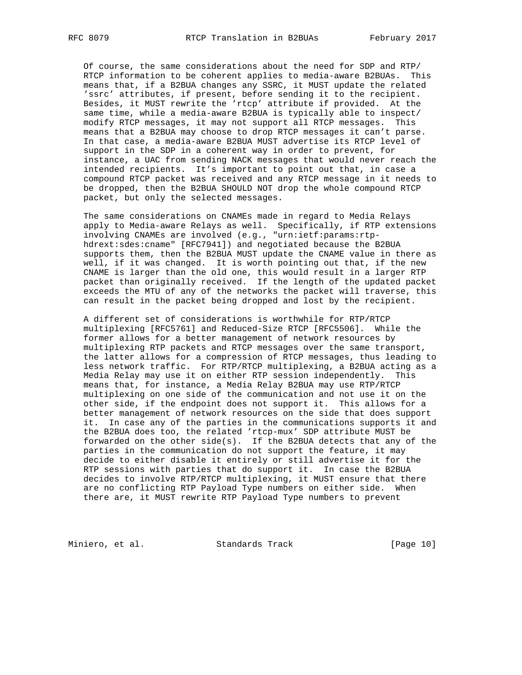Of course, the same considerations about the need for SDP and RTP/ RTCP information to be coherent applies to media-aware B2BUAs. This means that, if a B2BUA changes any SSRC, it MUST update the related 'ssrc' attributes, if present, before sending it to the recipient. Besides, it MUST rewrite the 'rtcp' attribute if provided. At the same time, while a media-aware B2BUA is typically able to inspect/ modify RTCP messages, it may not support all RTCP messages. This means that a B2BUA may choose to drop RTCP messages it can't parse. In that case, a media-aware B2BUA MUST advertise its RTCP level of support in the SDP in a coherent way in order to prevent, for instance, a UAC from sending NACK messages that would never reach the intended recipients. It's important to point out that, in case a compound RTCP packet was received and any RTCP message in it needs to be dropped, then the B2BUA SHOULD NOT drop the whole compound RTCP packet, but only the selected messages.

 The same considerations on CNAMEs made in regard to Media Relays apply to Media-aware Relays as well. Specifically, if RTP extensions involving CNAMEs are involved (e.g., "urn:ietf:params:rtp hdrext:sdes:cname" [RFC7941]) and negotiated because the B2BUA supports them, then the B2BUA MUST update the CNAME value in there as well, if it was changed. It is worth pointing out that, if the new CNAME is larger than the old one, this would result in a larger RTP packet than originally received. If the length of the updated packet exceeds the MTU of any of the networks the packet will traverse, this can result in the packet being dropped and lost by the recipient.

 A different set of considerations is worthwhile for RTP/RTCP multiplexing [RFC5761] and Reduced-Size RTCP [RFC5506]. While the former allows for a better management of network resources by multiplexing RTP packets and RTCP messages over the same transport, the latter allows for a compression of RTCP messages, thus leading to less network traffic. For RTP/RTCP multiplexing, a B2BUA acting as a Media Relay may use it on either RTP session independently. This means that, for instance, a Media Relay B2BUA may use RTP/RTCP multiplexing on one side of the communication and not use it on the other side, if the endpoint does not support it. This allows for a better management of network resources on the side that does support it. In case any of the parties in the communications supports it and the B2BUA does too, the related 'rtcp-mux' SDP attribute MUST be forwarded on the other side(s). If the B2BUA detects that any of the parties in the communication do not support the feature, it may decide to either disable it entirely or still advertise it for the RTP sessions with parties that do support it. In case the B2BUA decides to involve RTP/RTCP multiplexing, it MUST ensure that there are no conflicting RTP Payload Type numbers on either side. When there are, it MUST rewrite RTP Payload Type numbers to prevent

Miniero, et al. Standards Track [Page 10]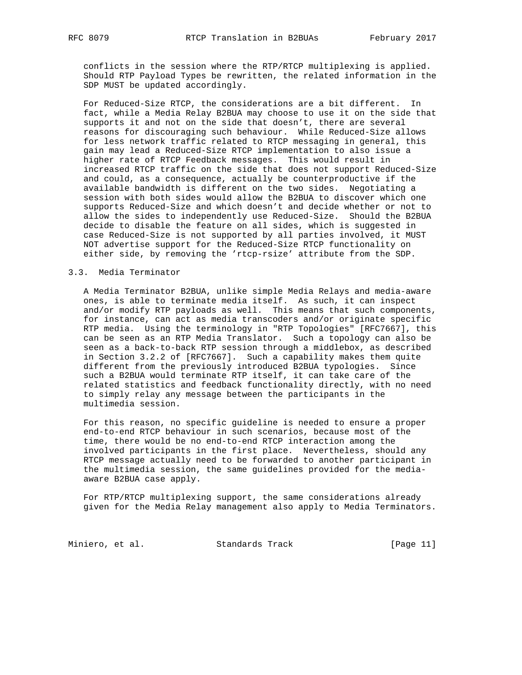conflicts in the session where the RTP/RTCP multiplexing is applied. Should RTP Payload Types be rewritten, the related information in the SDP MUST be updated accordingly.

 For Reduced-Size RTCP, the considerations are a bit different. In fact, while a Media Relay B2BUA may choose to use it on the side that supports it and not on the side that doesn't, there are several reasons for discouraging such behaviour. While Reduced-Size allows for less network traffic related to RTCP messaging in general, this gain may lead a Reduced-Size RTCP implementation to also issue a higher rate of RTCP Feedback messages. This would result in increased RTCP traffic on the side that does not support Reduced-Size and could, as a consequence, actually be counterproductive if the available bandwidth is different on the two sides. Negotiating a session with both sides would allow the B2BUA to discover which one supports Reduced-Size and which doesn't and decide whether or not to allow the sides to independently use Reduced-Size. Should the B2BUA decide to disable the feature on all sides, which is suggested in case Reduced-Size is not supported by all parties involved, it MUST NOT advertise support for the Reduced-Size RTCP functionality on either side, by removing the 'rtcp-rsize' attribute from the SDP.

### 3.3. Media Terminator

 A Media Terminator B2BUA, unlike simple Media Relays and media-aware ones, is able to terminate media itself. As such, it can inspect and/or modify RTP payloads as well. This means that such components, for instance, can act as media transcoders and/or originate specific RTP media. Using the terminology in "RTP Topologies" [RFC7667], this can be seen as an RTP Media Translator. Such a topology can also be seen as a back-to-back RTP session through a middlebox, as described in Section 3.2.2 of [RFC7667]. Such a capability makes them quite different from the previously introduced B2BUA typologies. Since such a B2BUA would terminate RTP itself, it can take care of the related statistics and feedback functionality directly, with no need to simply relay any message between the participants in the multimedia session.

 For this reason, no specific guideline is needed to ensure a proper end-to-end RTCP behaviour in such scenarios, because most of the time, there would be no end-to-end RTCP interaction among the involved participants in the first place. Nevertheless, should any RTCP message actually need to be forwarded to another participant in the multimedia session, the same guidelines provided for the media aware B2BUA case apply.

 For RTP/RTCP multiplexing support, the same considerations already given for the Media Relay management also apply to Media Terminators.

Miniero, et al. Standards Track [Page 11]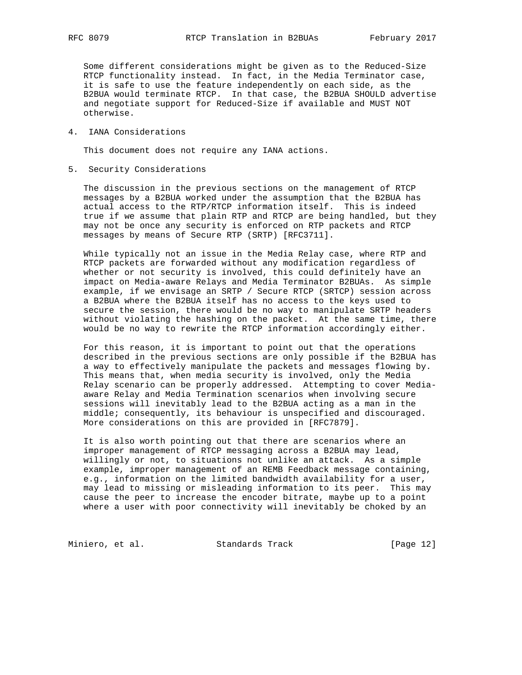Some different considerations might be given as to the Reduced-Size RTCP functionality instead. In fact, in the Media Terminator case, it is safe to use the feature independently on each side, as the B2BUA would terminate RTCP. In that case, the B2BUA SHOULD advertise and negotiate support for Reduced-Size if available and MUST NOT otherwise.

4. IANA Considerations

This document does not require any IANA actions.

5. Security Considerations

 The discussion in the previous sections on the management of RTCP messages by a B2BUA worked under the assumption that the B2BUA has actual access to the RTP/RTCP information itself. This is indeed true if we assume that plain RTP and RTCP are being handled, but they may not be once any security is enforced on RTP packets and RTCP messages by means of Secure RTP (SRTP) [RFC3711].

 While typically not an issue in the Media Relay case, where RTP and RTCP packets are forwarded without any modification regardless of whether or not security is involved, this could definitely have an impact on Media-aware Relays and Media Terminator B2BUAs. As simple example, if we envisage an SRTP / Secure RTCP (SRTCP) session across a B2BUA where the B2BUA itself has no access to the keys used to secure the session, there would be no way to manipulate SRTP headers without violating the hashing on the packet. At the same time, there would be no way to rewrite the RTCP information accordingly either.

 For this reason, it is important to point out that the operations described in the previous sections are only possible if the B2BUA has a way to effectively manipulate the packets and messages flowing by. This means that, when media security is involved, only the Media Relay scenario can be properly addressed. Attempting to cover Media aware Relay and Media Termination scenarios when involving secure sessions will inevitably lead to the B2BUA acting as a man in the middle; consequently, its behaviour is unspecified and discouraged. More considerations on this are provided in [RFC7879].

 It is also worth pointing out that there are scenarios where an improper management of RTCP messaging across a B2BUA may lead, willingly or not, to situations not unlike an attack. As a simple example, improper management of an REMB Feedback message containing, e.g., information on the limited bandwidth availability for a user, may lead to missing or misleading information to its peer. This may cause the peer to increase the encoder bitrate, maybe up to a point where a user with poor connectivity will inevitably be choked by an

Miniero, et al. Standards Track [Page 12]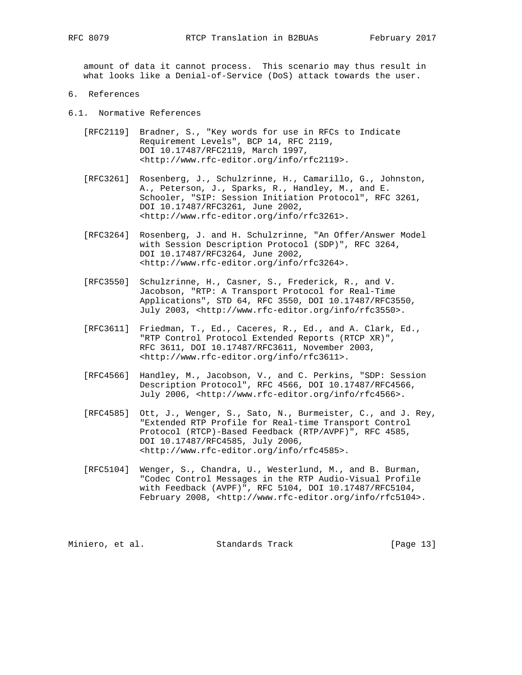amount of data it cannot process. This scenario may thus result in what looks like a Denial-of-Service (DoS) attack towards the user.

- 6. References
- 6.1. Normative References
	- [RFC2119] Bradner, S., "Key words for use in RFCs to Indicate Requirement Levels", BCP 14, RFC 2119, DOI 10.17487/RFC2119, March 1997, <http://www.rfc-editor.org/info/rfc2119>.
	- [RFC3261] Rosenberg, J., Schulzrinne, H., Camarillo, G., Johnston, A., Peterson, J., Sparks, R., Handley, M., and E. Schooler, "SIP: Session Initiation Protocol", RFC 3261, DOI 10.17487/RFC3261, June 2002, <http://www.rfc-editor.org/info/rfc3261>.
	- [RFC3264] Rosenberg, J. and H. Schulzrinne, "An Offer/Answer Model with Session Description Protocol (SDP)", RFC 3264, DOI 10.17487/RFC3264, June 2002, <http://www.rfc-editor.org/info/rfc3264>.
	- [RFC3550] Schulzrinne, H., Casner, S., Frederick, R., and V. Jacobson, "RTP: A Transport Protocol for Real-Time Applications", STD 64, RFC 3550, DOI 10.17487/RFC3550, July 2003, <http://www.rfc-editor.org/info/rfc3550>.
	- [RFC3611] Friedman, T., Ed., Caceres, R., Ed., and A. Clark, Ed., "RTP Control Protocol Extended Reports (RTCP XR)", RFC 3611, DOI 10.17487/RFC3611, November 2003, <http://www.rfc-editor.org/info/rfc3611>.
	- [RFC4566] Handley, M., Jacobson, V., and C. Perkins, "SDP: Session Description Protocol", RFC 4566, DOI 10.17487/RFC4566, July 2006, <http://www.rfc-editor.org/info/rfc4566>.
	- [RFC4585] Ott, J., Wenger, S., Sato, N., Burmeister, C., and J. Rey, "Extended RTP Profile for Real-time Transport Control Protocol (RTCP)-Based Feedback (RTP/AVPF)", RFC 4585, DOI 10.17487/RFC4585, July 2006, <http://www.rfc-editor.org/info/rfc4585>.
	- [RFC5104] Wenger, S., Chandra, U., Westerlund, M., and B. Burman, "Codec Control Messages in the RTP Audio-Visual Profile with Feedback (AVPF)", RFC 5104, DOI 10.17487/RFC5104, February 2008, <http://www.rfc-editor.org/info/rfc5104>.

Miniero, et al. Standards Track [Page 13]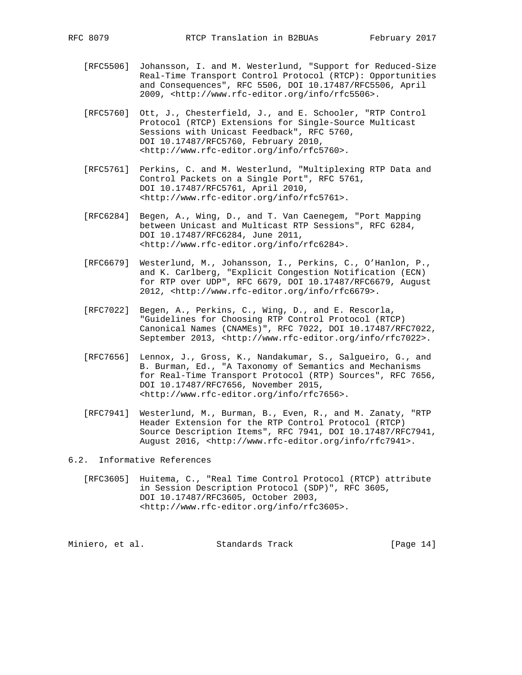- [RFC5506] Johansson, I. and M. Westerlund, "Support for Reduced-Size Real-Time Transport Control Protocol (RTCP): Opportunities and Consequences", RFC 5506, DOI 10.17487/RFC5506, April 2009, <http://www.rfc-editor.org/info/rfc5506>.
- [RFC5760] Ott, J., Chesterfield, J., and E. Schooler, "RTP Control Protocol (RTCP) Extensions for Single-Source Multicast Sessions with Unicast Feedback", RFC 5760, DOI 10.17487/RFC5760, February 2010, <http://www.rfc-editor.org/info/rfc5760>.
- [RFC5761] Perkins, C. and M. Westerlund, "Multiplexing RTP Data and Control Packets on a Single Port", RFC 5761, DOI 10.17487/RFC5761, April 2010, <http://www.rfc-editor.org/info/rfc5761>.
- [RFC6284] Begen, A., Wing, D., and T. Van Caenegem, "Port Mapping between Unicast and Multicast RTP Sessions", RFC 6284, DOI 10.17487/RFC6284, June 2011, <http://www.rfc-editor.org/info/rfc6284>.
- [RFC6679] Westerlund, M., Johansson, I., Perkins, C., O'Hanlon, P., and K. Carlberg, "Explicit Congestion Notification (ECN) for RTP over UDP", RFC 6679, DOI 10.17487/RFC6679, August 2012, <http://www.rfc-editor.org/info/rfc6679>.
- [RFC7022] Begen, A., Perkins, C., Wing, D., and E. Rescorla, "Guidelines for Choosing RTP Control Protocol (RTCP) Canonical Names (CNAMEs)", RFC 7022, DOI 10.17487/RFC7022, September 2013, <http://www.rfc-editor.org/info/rfc7022>.
- [RFC7656] Lennox, J., Gross, K., Nandakumar, S., Salgueiro, G., and B. Burman, Ed., "A Taxonomy of Semantics and Mechanisms for Real-Time Transport Protocol (RTP) Sources", RFC 7656, DOI 10.17487/RFC7656, November 2015, <http://www.rfc-editor.org/info/rfc7656>.
- [RFC7941] Westerlund, M., Burman, B., Even, R., and M. Zanaty, "RTP Header Extension for the RTP Control Protocol (RTCP) Source Description Items", RFC 7941, DOI 10.17487/RFC7941, August 2016, <http://www.rfc-editor.org/info/rfc7941>.

6.2. Informative References

 [RFC3605] Huitema, C., "Real Time Control Protocol (RTCP) attribute in Session Description Protocol (SDP)", RFC 3605, DOI 10.17487/RFC3605, October 2003, <http://www.rfc-editor.org/info/rfc3605>.

Miniero, et al. Standards Track [Page 14]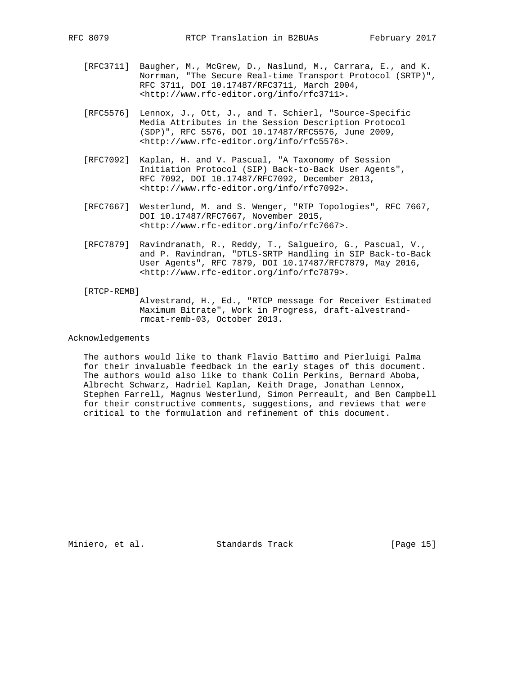- [RFC3711] Baugher, M., McGrew, D., Naslund, M., Carrara, E., and K. Norrman, "The Secure Real-time Transport Protocol (SRTP)", RFC 3711, DOI 10.17487/RFC3711, March 2004, <http://www.rfc-editor.org/info/rfc3711>.
- [RFC5576] Lennox, J., Ott, J., and T. Schierl, "Source-Specific Media Attributes in the Session Description Protocol (SDP)", RFC 5576, DOI 10.17487/RFC5576, June 2009, <http://www.rfc-editor.org/info/rfc5576>.
- [RFC7092] Kaplan, H. and V. Pascual, "A Taxonomy of Session Initiation Protocol (SIP) Back-to-Back User Agents", RFC 7092, DOI 10.17487/RFC7092, December 2013, <http://www.rfc-editor.org/info/rfc7092>.
- [RFC7667] Westerlund, M. and S. Wenger, "RTP Topologies", RFC 7667, DOI 10.17487/RFC7667, November 2015, <http://www.rfc-editor.org/info/rfc7667>.
- [RFC7879] Ravindranath, R., Reddy, T., Salgueiro, G., Pascual, V., and P. Ravindran, "DTLS-SRTP Handling in SIP Back-to-Back User Agents", RFC 7879, DOI 10.17487/RFC7879, May 2016, <http://www.rfc-editor.org/info/rfc7879>.

#### [RTCP-REMB]

 Alvestrand, H., Ed., "RTCP message for Receiver Estimated Maximum Bitrate", Work in Progress, draft-alvestrand rmcat-remb-03, October 2013.

## Acknowledgements

 The authors would like to thank Flavio Battimo and Pierluigi Palma for their invaluable feedback in the early stages of this document. The authors would also like to thank Colin Perkins, Bernard Aboba, Albrecht Schwarz, Hadriel Kaplan, Keith Drage, Jonathan Lennox, Stephen Farrell, Magnus Westerlund, Simon Perreault, and Ben Campbell for their constructive comments, suggestions, and reviews that were critical to the formulation and refinement of this document.

Miniero, et al. Standards Track [Page 15]